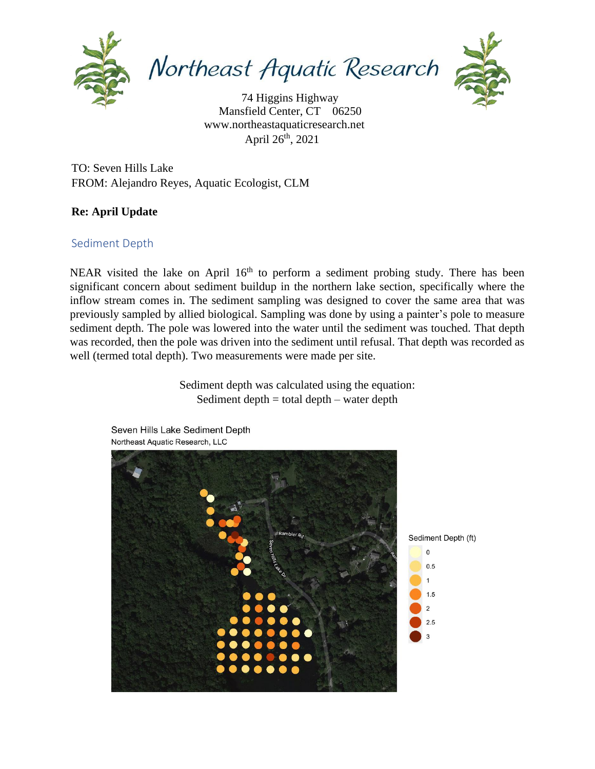

Northeast Aquatic Research



 www.northeastaquaticresearch.net April 26<sup>th</sup>, 2021 74 Higgins Highway Mansfield Center, CT 06250

TO: Seven Hills Lake FROM: Alejandro Reyes, Aquatic Ecologist, CLM

## **Re: April Update**

## Sediment Depth

NEAR visited the lake on April 16<sup>th</sup> to perform a sediment probing study. There has been significant concern about sediment buildup in the northern lake section, specifically where the inflow stream comes in. The sediment sampling was designed to cover the same area that was previously sampled by allied biological. Sampling was done by using a painter's pole to measure sediment depth. The pole was lowered into the water until the sediment was touched. That depth was recorded, then the pole was driven into the sediment until refusal. That depth was recorded as well (termed total depth). Two measurements were made per site.

> Sediment depth was calculated using the equation: Sediment depth  $=$  total depth  $-$  water depth



Seven Hills Lake Sediment Depth Northeast Aquatic Research, LLC